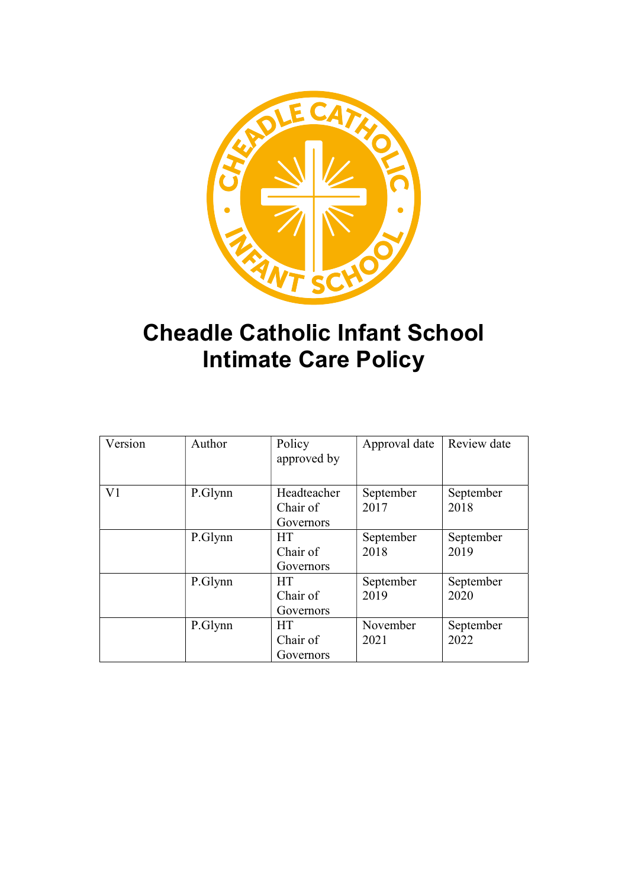

# Cheadle Catholic Infant School Intimate Care Policy

| Version        | Author  | Policy<br>approved by                | Approval date     | Review date       |
|----------------|---------|--------------------------------------|-------------------|-------------------|
| V <sub>1</sub> | P.Glynn | Headteacher<br>Chair of<br>Governors | September<br>2017 | September<br>2018 |
|                | P.Glynn | <b>HT</b><br>Chair of<br>Governors   | September<br>2018 | September<br>2019 |
|                | P.Glynn | <b>HT</b><br>Chair of<br>Governors   | September<br>2019 | September<br>2020 |
|                | P.Glynn | <b>HT</b><br>Chair of<br>Governors   | November<br>2021  | September<br>2022 |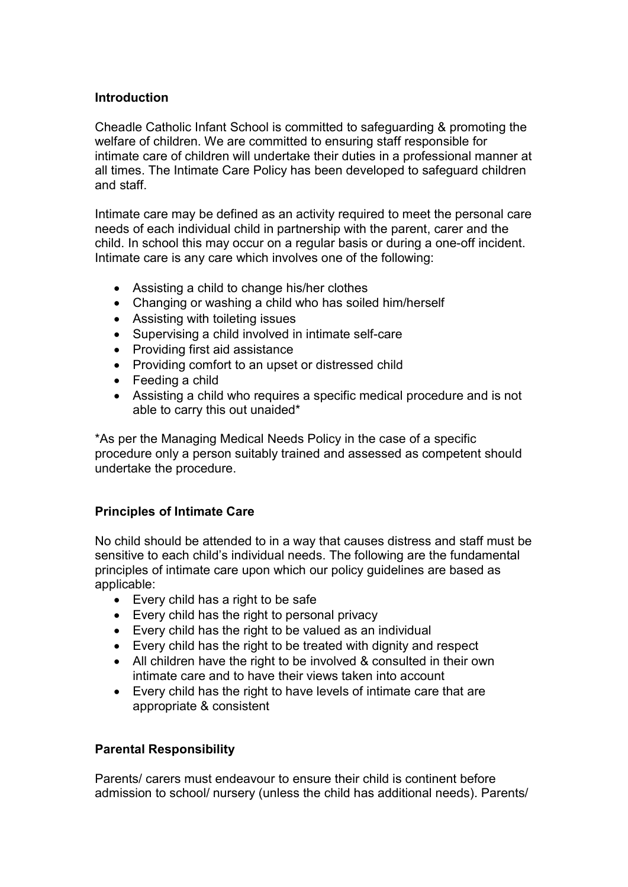#### Introduction

Cheadle Catholic Infant School is committed to safeguarding & promoting the welfare of children. We are committed to ensuring staff responsible for intimate care of children will undertake their duties in a professional manner at all times. The Intimate Care Policy has been developed to safeguard children and staff.

Intimate care may be defined as an activity required to meet the personal care needs of each individual child in partnership with the parent, carer and the child. In school this may occur on a regular basis or during a one-off incident. Intimate care is any care which involves one of the following:

- Assisting a child to change his/her clothes
- Changing or washing a child who has soiled him/herself
- Assisting with toileting issues
- Supervising a child involved in intimate self-care
- Providing first aid assistance
- Providing comfort to an upset or distressed child
- Feeding a child
- Assisting a child who requires a specific medical procedure and is not able to carry this out unaided\*

\*As per the Managing Medical Needs Policy in the case of a specific procedure only a person suitably trained and assessed as competent should undertake the procedure.

#### Principles of Intimate Care

No child should be attended to in a way that causes distress and staff must be sensitive to each child's individual needs. The following are the fundamental principles of intimate care upon which our policy guidelines are based as applicable:

- Every child has a right to be safe
- Every child has the right to personal privacy
- Every child has the right to be valued as an individual
- Every child has the right to be treated with dignity and respect
- All children have the right to be involved & consulted in their own intimate care and to have their views taken into account
- Every child has the right to have levels of intimate care that are appropriate & consistent

#### Parental Responsibility

Parents/ carers must endeavour to ensure their child is continent before admission to school/ nursery (unless the child has additional needs). Parents/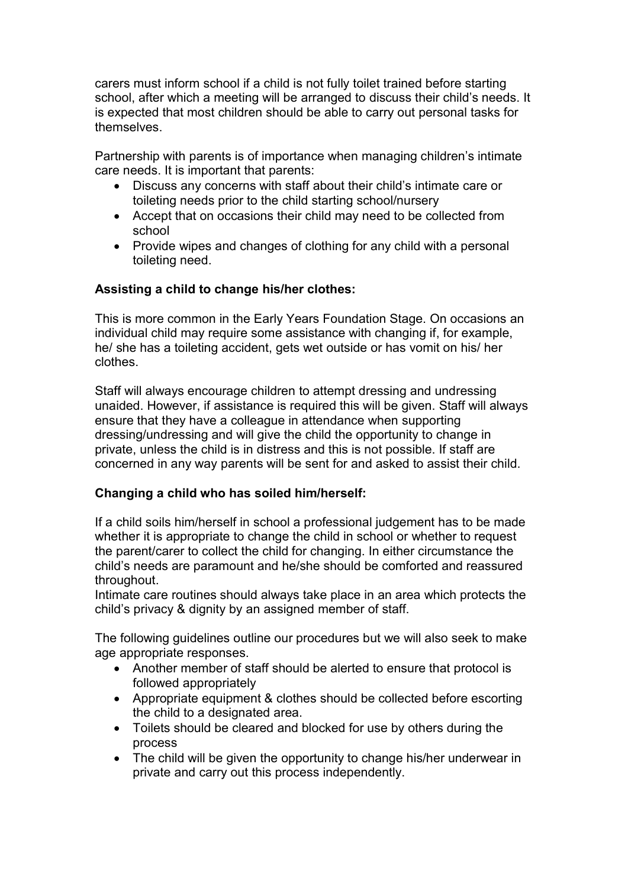carers must inform school if a child is not fully toilet trained before starting school, after which a meeting will be arranged to discuss their child's needs. It is expected that most children should be able to carry out personal tasks for themselves.

Partnership with parents is of importance when managing children's intimate care needs. It is important that parents:

- Discuss any concerns with staff about their child's intimate care or toileting needs prior to the child starting school/nursery
- Accept that on occasions their child may need to be collected from school
- Provide wipes and changes of clothing for any child with a personal toileting need.

#### Assisting a child to change his/her clothes:

This is more common in the Early Years Foundation Stage. On occasions an individual child may require some assistance with changing if, for example, he/ she has a toileting accident, gets wet outside or has vomit on his/ her clothes.

Staff will always encourage children to attempt dressing and undressing unaided. However, if assistance is required this will be given. Staff will always ensure that they have a colleague in attendance when supporting dressing/undressing and will give the child the opportunity to change in private, unless the child is in distress and this is not possible. If staff are concerned in any way parents will be sent for and asked to assist their child.

#### Changing a child who has soiled him/herself:

If a child soils him/herself in school a professional judgement has to be made whether it is appropriate to change the child in school or whether to request the parent/carer to collect the child for changing. In either circumstance the child's needs are paramount and he/she should be comforted and reassured throughout.

Intimate care routines should always take place in an area which protects the child's privacy & dignity by an assigned member of staff.

The following guidelines outline our procedures but we will also seek to make age appropriate responses.

- Another member of staff should be alerted to ensure that protocol is followed appropriately
- Appropriate equipment & clothes should be collected before escorting the child to a designated area.
- Toilets should be cleared and blocked for use by others during the process
- The child will be given the opportunity to change his/her underwear in private and carry out this process independently.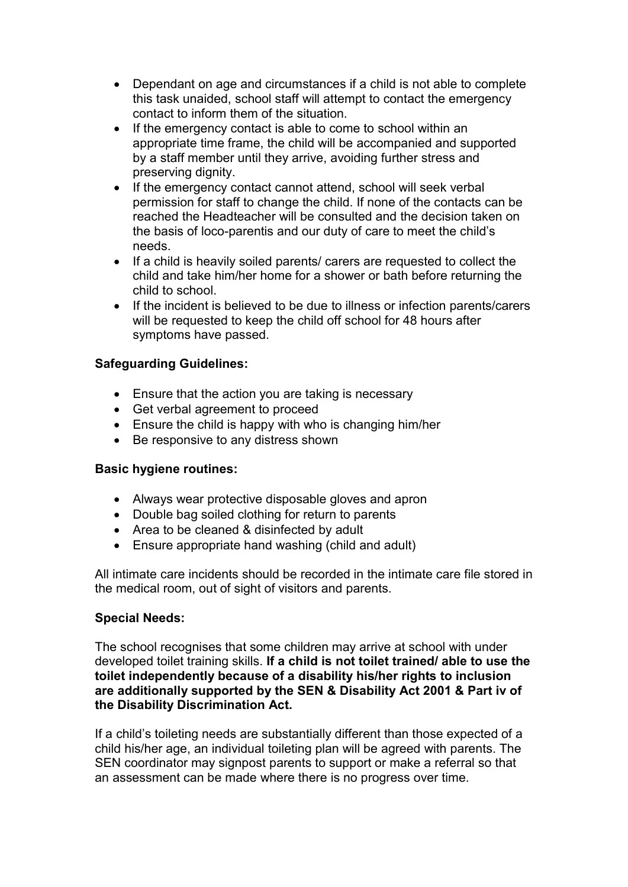- Dependant on age and circumstances if a child is not able to complete this task unaided, school staff will attempt to contact the emergency contact to inform them of the situation.
- If the emergency contact is able to come to school within an appropriate time frame, the child will be accompanied and supported by a staff member until they arrive, avoiding further stress and preserving dignity.
- If the emergency contact cannot attend, school will seek verbal permission for staff to change the child. If none of the contacts can be reached the Headteacher will be consulted and the decision taken on the basis of loco-parentis and our duty of care to meet the child's needs.
- If a child is heavily soiled parents/ carers are requested to collect the child and take him/her home for a shower or bath before returning the child to school.
- If the incident is believed to be due to illness or infection parents/carers will be requested to keep the child off school for 48 hours after symptoms have passed.

#### Safeguarding Guidelines:

- Ensure that the action you are taking is necessary
- Get verbal agreement to proceed
- Ensure the child is happy with who is changing him/her
- Be responsive to any distress shown

#### Basic hygiene routines:

- Always wear protective disposable gloves and apron
- Double bag soiled clothing for return to parents
- Area to be cleaned & disinfected by adult
- Ensure appropriate hand washing (child and adult)

All intimate care incidents should be recorded in the intimate care file stored in the medical room, out of sight of visitors and parents.

#### Special Needs:

The school recognises that some children may arrive at school with under developed toilet training skills. If a child is not toilet trained/ able to use the toilet independently because of a disability his/her rights to inclusion are additionally supported by the SEN & Disability Act 2001 & Part iv of the Disability Discrimination Act.

If a child's toileting needs are substantially different than those expected of a child his/her age, an individual toileting plan will be agreed with parents. The SEN coordinator may signpost parents to support or make a referral so that an assessment can be made where there is no progress over time.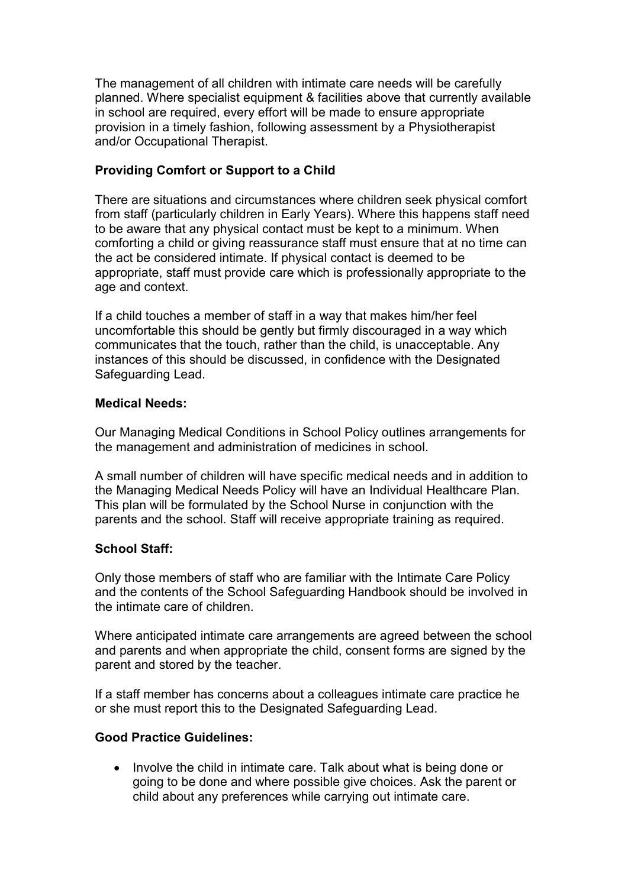The management of all children with intimate care needs will be carefully planned. Where specialist equipment & facilities above that currently available in school are required, every effort will be made to ensure appropriate provision in a timely fashion, following assessment by a Physiotherapist and/or Occupational Therapist.

#### Providing Comfort or Support to a Child

There are situations and circumstances where children seek physical comfort from staff (particularly children in Early Years). Where this happens staff need to be aware that any physical contact must be kept to a minimum. When comforting a child or giving reassurance staff must ensure that at no time can the act be considered intimate. If physical contact is deemed to be appropriate, staff must provide care which is professionally appropriate to the age and context.

If a child touches a member of staff in a way that makes him/her feel uncomfortable this should be gently but firmly discouraged in a way which communicates that the touch, rather than the child, is unacceptable. Any instances of this should be discussed, in confidence with the Designated Safeguarding Lead.

#### Medical Needs:

Our Managing Medical Conditions in School Policy outlines arrangements for the management and administration of medicines in school.

A small number of children will have specific medical needs and in addition to the Managing Medical Needs Policy will have an Individual Healthcare Plan. This plan will be formulated by the School Nurse in conjunction with the parents and the school. Staff will receive appropriate training as required.

#### School Staff:

Only those members of staff who are familiar with the Intimate Care Policy and the contents of the School Safeguarding Handbook should be involved in the intimate care of children.

Where anticipated intimate care arrangements are agreed between the school and parents and when appropriate the child, consent forms are signed by the parent and stored by the teacher.

If a staff member has concerns about a colleagues intimate care practice he or she must report this to the Designated Safeguarding Lead.

#### Good Practice Guidelines:

• Involve the child in intimate care. Talk about what is being done or going to be done and where possible give choices. Ask the parent or child about any preferences while carrying out intimate care.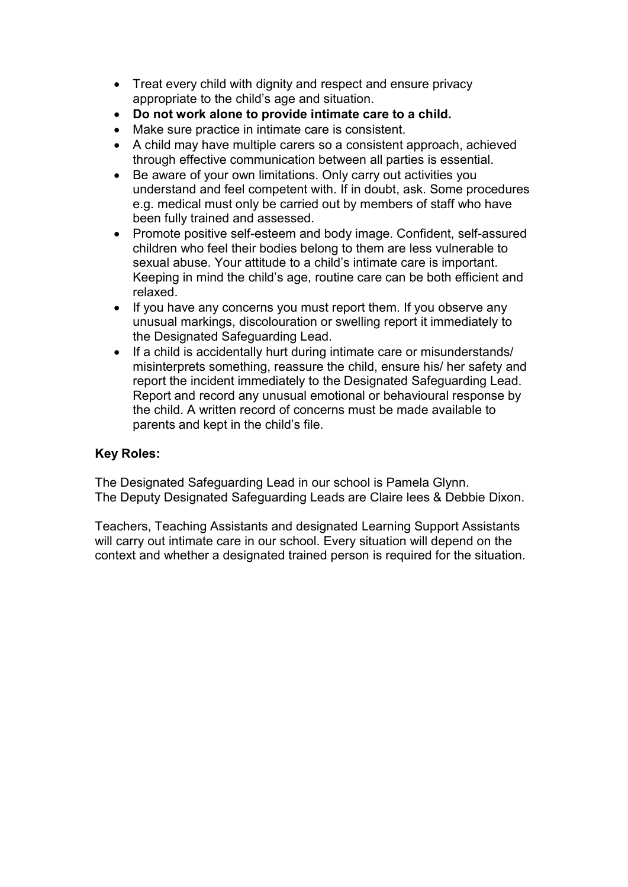- Treat every child with dignity and respect and ensure privacy appropriate to the child's age and situation.
- Do not work alone to provide intimate care to a child.
- Make sure practice in intimate care is consistent.
- A child may have multiple carers so a consistent approach, achieved through effective communication between all parties is essential.
- Be aware of your own limitations. Only carry out activities you understand and feel competent with. If in doubt, ask. Some procedures e.g. medical must only be carried out by members of staff who have been fully trained and assessed.
- Promote positive self-esteem and body image. Confident, self-assured children who feel their bodies belong to them are less vulnerable to sexual abuse. Your attitude to a child's intimate care is important. Keeping in mind the child's age, routine care can be both efficient and relaxed.
- If you have any concerns you must report them. If you observe any unusual markings, discolouration or swelling report it immediately to the Designated Safeguarding Lead.
- If a child is accidentally hurt during intimate care or misunderstands/ misinterprets something, reassure the child, ensure his/ her safety and report the incident immediately to the Designated Safeguarding Lead. Report and record any unusual emotional or behavioural response by the child. A written record of concerns must be made available to parents and kept in the child's file.

#### Key Roles:

The Designated Safeguarding Lead in our school is Pamela Glynn. The Deputy Designated Safeguarding Leads are Claire lees & Debbie Dixon.

Teachers, Teaching Assistants and designated Learning Support Assistants will carry out intimate care in our school. Every situation will depend on the context and whether a designated trained person is required for the situation.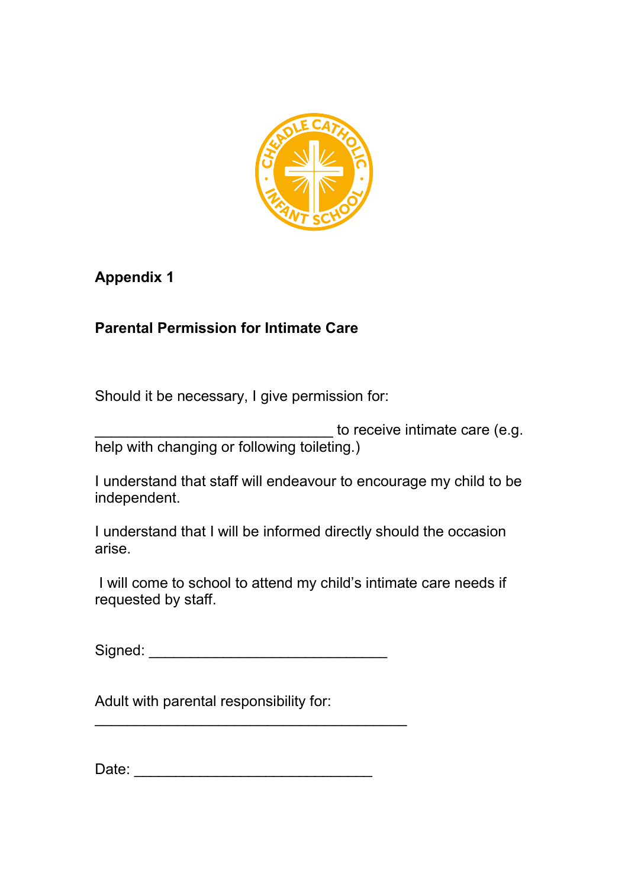

## Appendix 1

## Parental Permission for Intimate Care

Should it be necessary, I give permission for:

to receive intimate care (e.g. help with changing or following toileting.)

I understand that staff will endeavour to encourage my child to be independent.

I understand that I will be informed directly should the occasion arise.

 I will come to school to attend my child's intimate care needs if requested by staff.

Signed: \_\_\_\_\_\_\_\_\_\_\_\_\_\_\_\_\_\_\_\_\_\_\_\_\_\_\_\_\_

\_\_\_\_\_\_\_\_\_\_\_\_\_\_\_\_\_\_\_\_\_\_\_\_\_\_\_\_\_\_\_\_\_\_\_\_\_\_

Adult with parental responsibility for:

Date: \_\_\_\_\_\_\_\_\_\_\_\_\_\_\_\_\_\_\_\_\_\_\_\_\_\_\_\_\_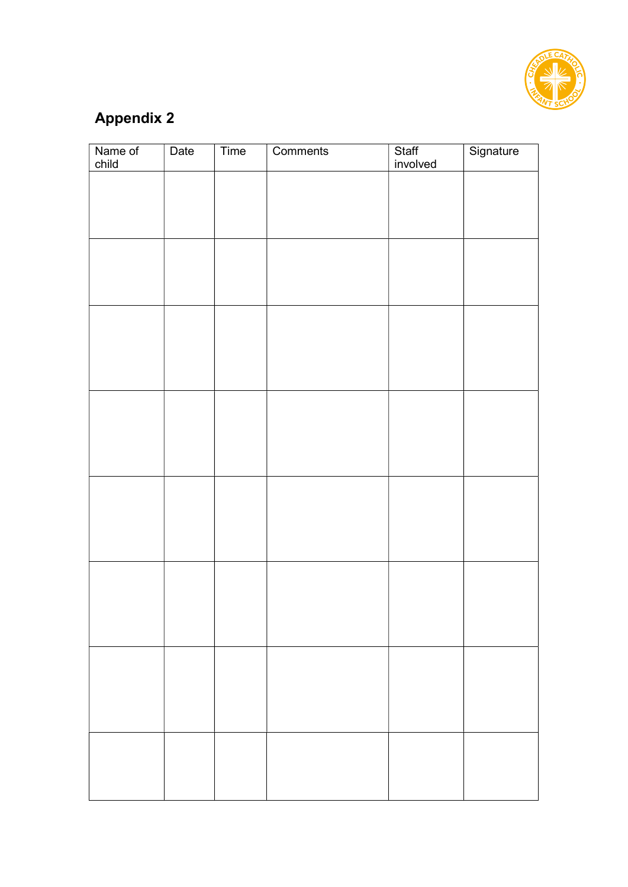

## Appendix 2

| Name of<br>child | Date | Time | Comments | Staff<br>involved | Signature |
|------------------|------|------|----------|-------------------|-----------|
|                  |      |      |          |                   |           |
|                  |      |      |          |                   |           |
|                  |      |      |          |                   |           |
|                  |      |      |          |                   |           |
|                  |      |      |          |                   |           |
|                  |      |      |          |                   |           |
|                  |      |      |          |                   |           |
|                  |      |      |          |                   |           |
|                  |      |      |          |                   |           |
|                  |      |      |          |                   |           |
|                  |      |      |          |                   |           |
|                  |      |      |          |                   |           |
|                  |      |      |          |                   |           |
|                  |      |      |          |                   |           |
|                  |      |      |          |                   |           |
|                  |      |      |          |                   |           |
|                  |      |      |          |                   |           |
|                  |      |      |          |                   |           |
|                  |      |      |          |                   |           |
|                  |      |      |          |                   |           |
|                  |      |      |          |                   |           |
|                  |      |      |          |                   |           |
|                  |      |      |          |                   |           |
|                  |      |      |          |                   |           |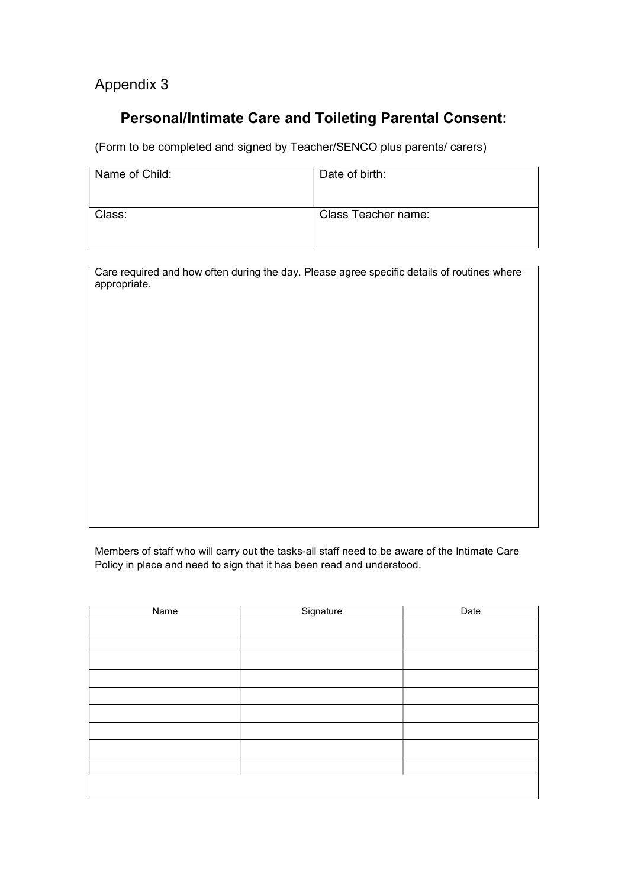### Appendix 3

## Personal/Intimate Care and Toileting Parental Consent:

(Form to be completed and signed by Teacher/SENCO plus parents/ carers)

| Name of Child: | Date of birth:             |
|----------------|----------------------------|
| Class:         | <b>Class Teacher name:</b> |

Care required and how often during the day. Please agree specific details of routines where appropriate.

Members of staff who will carry out the tasks-all staff need to be aware of the Intimate Care Policy in place and need to sign that it has been read and understood.

| Name | Signature | Date |
|------|-----------|------|
|      |           |      |
|      |           |      |
|      |           |      |
|      |           |      |
|      |           |      |
|      |           |      |
|      |           |      |
|      |           |      |
|      |           |      |
|      |           |      |
|      |           |      |
|      |           |      |